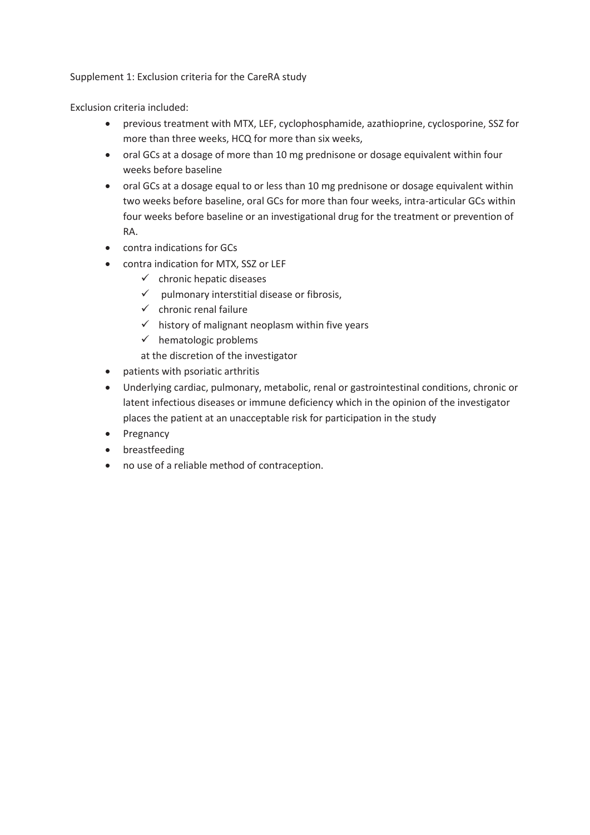Supplement 1: Exclusion criteria for the CareRA study

Exclusion criteria included:

- previous treatment with MTX, LEF, cyclophosphamide, azathioprine, cyclosporine, SSZ for more than three weeks, HCQ for more than six weeks,
- oral GCs at a dosage of more than 10 mg prednisone or dosage equivalent within four weeks before baseline
- oral GCs at a dosage equal to or less than 10 mg prednisone or dosage equivalent within two weeks before baseline, oral GCs for more than four weeks, intra-articular GCs within four weeks before baseline or an investigational drug for the treatment or prevention of RA.
- contra indications for GCs
- contra indication for MTX, SSZ or LEF
	- $\checkmark$  chronic hepatic diseases
	- $\checkmark$  pulmonary interstitial disease or fibrosis,
	- $\checkmark$  chronic renal failure
	- $\checkmark$  history of malignant neoplasm within five years
	- $\checkmark$  hematologic problems

at the discretion of the investigator

- patients with psoriatic arthritis
- Underlying cardiac, pulmonary, metabolic, renal or gastrointestinal conditions, chronic or latent infectious diseases or immune deficiency which in the opinion of the investigator places the patient at an unacceptable risk for participation in the study
- Pregnancy
- **•** breastfeeding
- no use of a reliable method of contraception.